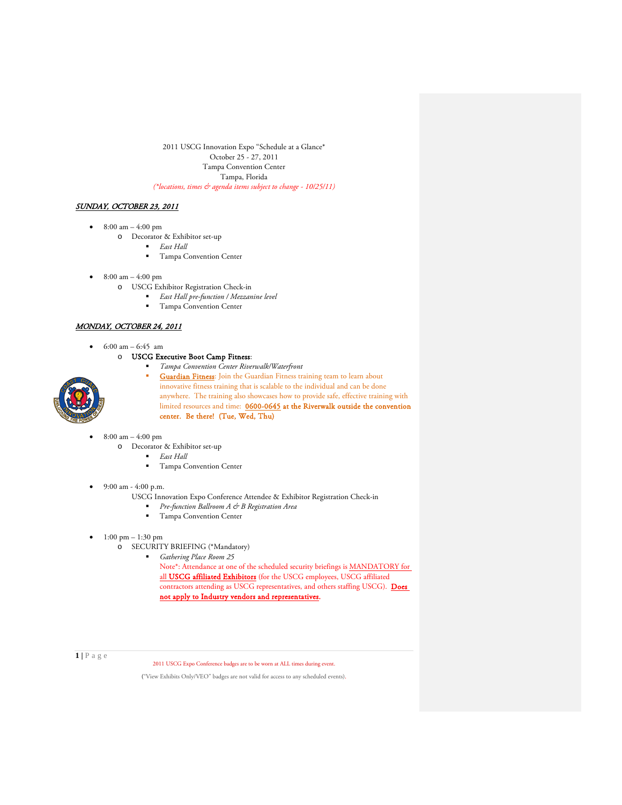2011 USCG Innovation Expo "Schedule at a Glance\* October 25 - 27, 2011 Tampa Convention Center Tampa, Florida *(\*locations, times & agenda items subject to change - 10/25/11)*

# SUNDAY, OCTOBER 23, 2011

- $8:00 \text{ am} 4:00 \text{ pm}$ 
	- o Decorator & Exhibitor set-up
		- *East Hall*
		- **Tampa Convention Center**
- $8:00 \text{ am} 4:00 \text{ pm}$ 
	- o USCG Exhibitor Registration Check-in
		- *East Hall pre-function / Mezzanine level*
		- Tampa Convention Center

## MONDAY, OCTOBER 24, 2011

•  $6:00 \text{ am} - 6:45 \text{ am}$ 

o USCG Executive Boot Camp Fitness:

- *Tampa Convention Center Riverwalk/Waterfront*
	- **Guardian Fitness:** Join the Guardian Fitness training team to learn about innovative fitness training that is scalable to the individual and can be done anywhere. The training also showcases how to provide safe, effective training with limited resources and time: 0600-0645 at the Riverwalk outside the convention center. Be there! (Tue, Wed, Thu)
- $8:00 \text{ am} 4:00 \text{ pm}$ 
	- o Decorator & Exhibitor set-up
		- *East Hall*
		- **Tampa Convention Center**
- 9:00 am 4:00 p.m.
	- USCG Innovation Expo Conference Attendee & Exhibitor Registration Check-in
		- *Pre-function Ballroom A & B Registration Area*
		- **Tampa Convention Center**
- 1:00 pm 1:30 pm
	- o SECURITY BRIEFING (\*Mandatory)
		- *Gathering Place Room 25*

Note\*: Attendance at one of the scheduled security briefings is MANDATORY for all **USCG** affiliated Exhibitors (for the USCG employees, USCG affiliated contractors attending as USCG representatives, and others staffing USCG). Does not apply to Industry vendors and representatives.

**1 |** Page

2011 USCG Expo Conference badges are to be worn at ALL times during event.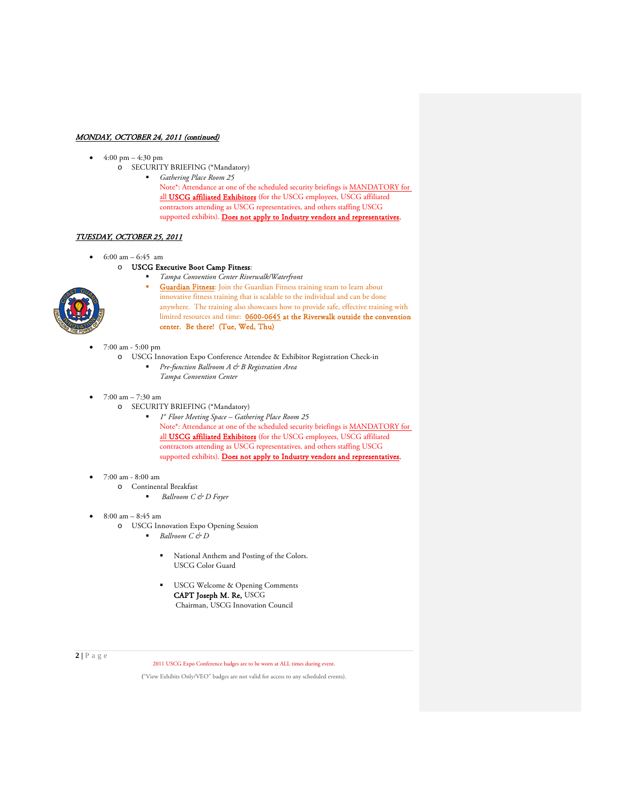# MONDAY, OCTOBER 24, 2011 (continued)

- $4:00 \text{ pm} 4:30 \text{ pm}$ 
	- o SECURITY BRIEFING (\*Mandatory)

*Gathering Place Room 25*

Note\*: Attendance at one of the scheduled security briefings is MANDATORY for all USCG affiliated Exhibitors (for the USCG employees, USCG affiliated contractors attending as USCG representatives, and others staffing USCG supported exhibits). Does not apply to Industry vendors and representatives.

# TUESDAY, OCTOBER 25, 2011

- 6:00 am 6:45 am
	- o USCG Executive Boot Camp Fitness:



- *Tampa Convention Center Riverwalk/Waterfront* Guardian Fitness: Join the Guardian Fitness training team to learn about innovative fitness training that is scalable to the individual and can be done anywhere. The training also showcases how to provide safe, effective training with limited resources and time: 0600-0645 at the Riverwalk outside the convention center. Be there! (Tue, Wed, Thu)
- 7:00 am 5:00 pm
	- o USCG Innovation Expo Conference Attendee & Exhibitor Registration Check-in *Pre-function Ballroom A & B Registration Area*
		- *Tampa Convention Center*
- 7:00 am 7:30 am
	- o SECURITY BRIEFING (\*Mandatory)
		- *1st Floor Meeting Space – Gathering Place Room 25* Note\*: Attendance at one of the scheduled security briefings is MANDATORY for all **USCG** affiliated Exhibitors (for the USCG employees, USCG affiliated contractors attending as USCG representatives, and others staffing USCG supported exhibits). Does not apply to Industry vendors and representatives.
- 7:00 am 8:00 am
	- o Continental Breakfast
		- *Ballroom C & D Foyer*
- 8:00 am 8:45 am
	- o USCG Innovation Expo Opening Session
		- *Ballroom C & D*
			- National Anthem and Posting of the Colors. USCG Color Guard
			- USCG Welcome & Opening Comments CAPT Joseph M. Re, USCG Chairman, USCG Innovation Council

**2 |** Page

2011 USCG Expo Conference badges are to be worn at ALL times during event.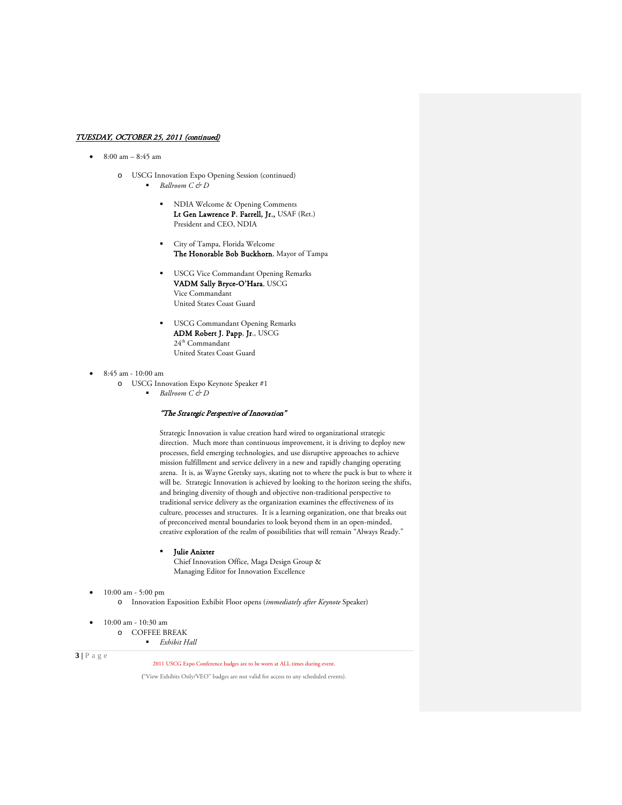- $8:00 \text{ am} 8:45 \text{ am}$ 
	- o USCG Innovation Expo Opening Session (continued) *Ballroom C & D*
		- NDIA Welcome & Opening Comments Lt Gen Lawrence P. Farrell, Jr., USAF (Ret.) President and CEO, NDIA
		- City of Tampa, Florida Welcome The Honorable Bob Buckhorn, Mayor of Tampa
		- **USCG Vice Commandant Opening Remarks** VADM Sally Bryce-O'Hara, USCG Vice Commandant United States Coast Guard
		- USCG Commandant Opening Remarks ADM Robert J. Papp, Jr., USCG 24th Commandant United States Coast Guard
- 8:45 am 10:00 am
	- o USCG Innovation Expo Keynote Speaker #1
		- $Ballroom C$  & *D*

# "The Strategic Perspective of Innovation"

Strategic Innovation is value creation hard wired to organizational strategic direction. Much more than continuous improvement, it is driving to deploy new processes, field emerging technologies, and use disruptive approaches to achieve mission fulfillment and service delivery in a new and rapidly changing operating arena. It is, as Wayne Gretsky says, skating not to where the puck is but to where it will be. Strategic Innovation is achieved by looking to the horizon seeing the shifts, and bringing diversity of though and objective non-traditional perspective to traditional service delivery as the organization examines the effectiveness of its culture, processes and structures. It is a learning organization, one that breaks out of preconceived mental boundaries to look beyond them in an open-minded, creative exploration of the realm of possibilities that will remain "Always Ready."

Julie Anixter

Chief Innovation Office, Maga Design Group & Managing Editor for Innovation Excellence

- 10:00 am 5:00 pm
	- o Innovation Exposition Exhibit Floor opens (*immediately after Keynote* Speaker)
- 10:00 am 10:30 am

o COFFEE BREAK

*Exhibit Hall*

 $3 | P \text{ a } g \text{ e}$ 

2011 USCG Expo Conference badges are to be worn at ALL times during event.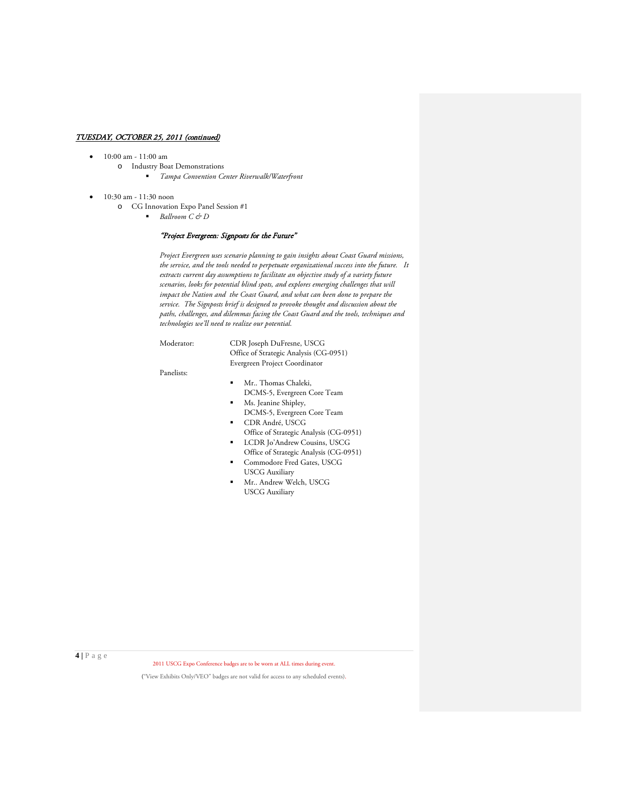- 10:00 am 11:00 am
	- o Industry Boat Demonstrations *Tampa Convention Center Riverwalk/Waterfront*
- 10:30 am 11:30 noon
	- o CG Innovation Expo Panel Session #1
		- *Ballroom C & D*

# "Project Evergreen: Signposts for the Future"

*Project Evergreen uses scenario planning to gain insights about Coast Guard missions, the service, and the tools needed to perpetuate organizational success into the future. It extracts current day assumptions to facilitate an objective study of a variety future scenarios, looks for potential blind spots, and explores emerging challenges that will impact the Nation and the Coast Guard, and what can been done to prepare the service. The Signposts brief is designed to provoke thought and discussion about the paths, challenges, and dilemmas facing the Coast Guard and the tools, techniques and technologies we'll need to realize our potential.* 

Moderator: CDR Joseph DuFresne, USCG Office of Strategic Analysis (CG-0951) Evergreen Project Coordinator

Panelists:

- Mr.. Thomas Chaleki, DCMS-5, Evergreen Core Team
- Ms. Jeanine Shipley, DCMS-5, Evergreen Core Team
- CDR André, USCG Office of Strategic Analysis (CG-0951)
- LCDR Jo'Andrew Cousins, USCG Office of Strategic Analysis (CG-0951)
- Commodore Fred Gates, USCG USCG Auxiliary
- Mr.. Andrew Welch, USCG USCG Auxiliary

**4 |** Page

2011 USCG Expo Conference badges are to be worn at ALL times during event.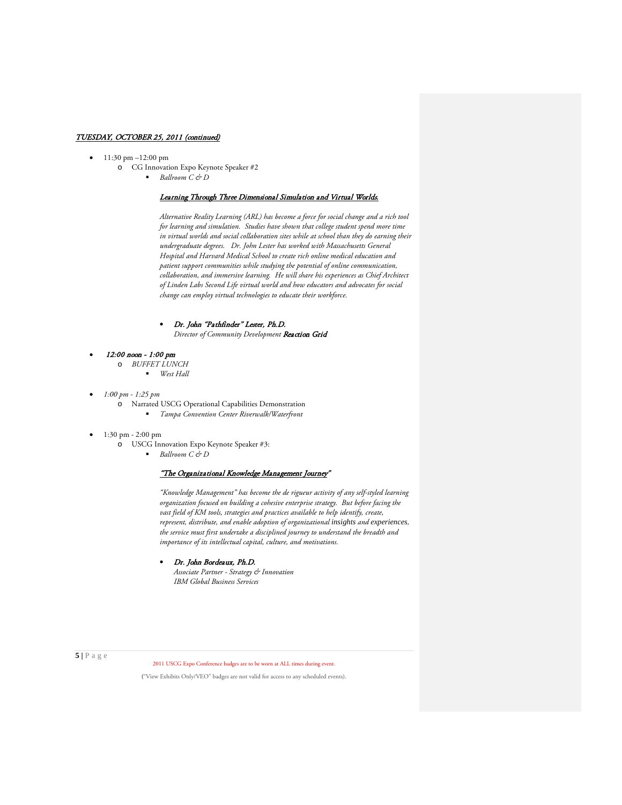- 11:30 pm -12:00 pm
	- o CG Innovation Expo Keynote Speaker #2 *Ballroom C & D* 
		-

# Learning Through Three Dimensional Simulation and Virtual Worlds.

*Alternative Reality Learning (ARL) has become a force for social change and a rich tool for learning and simulation. Studies have shown that college student spend more time in virtual worlds and social collaboration sites while at school than they do earning their undergraduate degrees. Dr. John Lester has worked with Massachusetts General Hospital and Harvard Medical School to create rich online medical education and patient support communities while studying the potential of online communication, collaboration, and immersive learning. He will share his experiences as Chief Architect of Linden Labs Second Life virtual world and how educators and advocates for social change can employ virtual technologies to educate their workforce.* 

# • Dr. John "Pathfinder" Lester, Ph.D.

*Director of Community Development* Reaction Grid

- 12:00 noon 1:00 pm
	- o *BUFFET LUNCH* 
		- *West Hall*
- *1:00 pm - 1:25 pm* 
	- o Narrated USCG Operational Capabilities Demonstration *Tampa Convention Center Riverwalk/Waterfront*
- $1:30 \text{ pm} 2:00 \text{ pm}$ 
	- o USCG Innovation Expo Keynote Speaker #3:
		- *Ballroom C & D*

# "The Organizational Knowledge Management Journey"

*"Knowledge Management" has become the de rigueur activity of any self-styled learning organization focused on building a cohesive enterprise strategy. But before facing the vast field of KM tools, strategies and practices available to help identify, create, represent, distribute, and enable adoption of organizational [insights](http://en.wikipedia.org/wiki/Insight) and [experiences](http://en.wikipedia.org/wiki/Experience), the service must first undertake a disciplined journey to understand the breadth and importance of its intellectual capital, culture, and motivations.*

#### • Dr. John Bordeaux, Ph.D.

*Associate Partner - Strategy & Innovation [IBM Global Business Services](http://www.linkedin.com/company/ibm-global-services?trk=ppro_cprof)*

**5 |** Page

2011 USCG Expo Conference badges are to be worn at ALL times during event.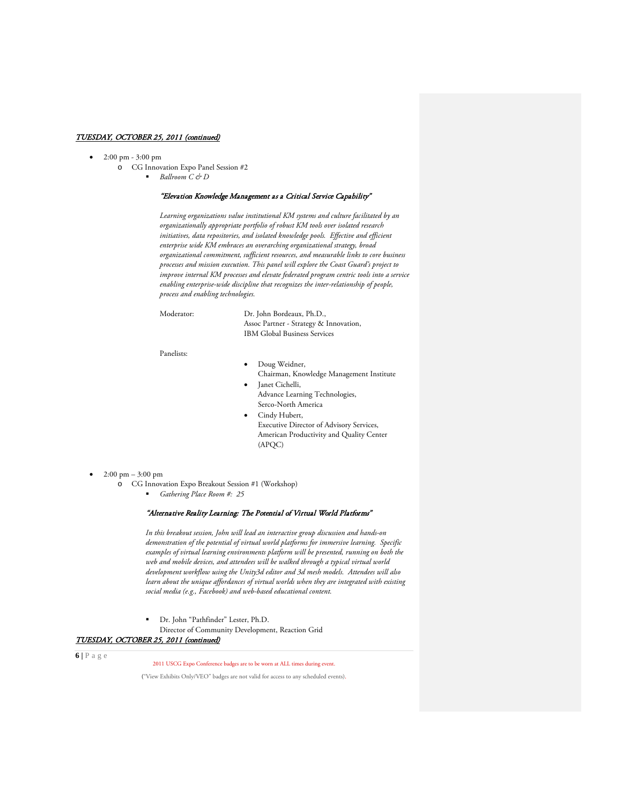- 2:00 pm 3:00 pm
	- o CG Innovation Expo Panel Session #2 *Ballroom C & D*

# "Elevation Knowledge Management as a Critical Service Capability"

*Learning organizations value institutional KM systems and culture facilitated by an organizationally appropriate portfolio of robust KM tools over isolated research initiatives, data repositories, and isolated knowledge pools. Effective and efficient enterprise wide KM embraces an overarching organizational strategy, broad organizational commitment, sufficient resources, and measurable links to core business processes and mission execution. This panel will explore the Coast Guard's project to improve internal KM processes and elevate federated program centric tools into a service enabling enterprise-wide discipline that recognizes the inter-relationship of people, process and enabling technologies.* 

Moderator: Dr. John Bordeaux, Ph.D., Assoc Partner - Strategy & Innovation, [IBM Global Business Services](http://www.linkedin.com/company/ibm-global-services?trk=ppro_cprof)

Panelists:

- Doug Weidner, Chairman, Knowledge Management Institute
- Janet Cichelli, Advance Learning Technologies, Serco-North America
- Cindy Hubert, Executive Director of Advisory Services, American Productivity and Quality Center (APQC)

• 2:00 pm – 3:00 pm

o CG Innovation Expo Breakout Session #1 (Workshop)

*Gathering Place Room #: 25*

# "Alternative Reality Learning: The Potential of Virtual World Platforms"

*In this breakout session, John will lead an interactive group discussion and hands-on demonstration of the potential of virtual world platforms for immersive learning. Specific examples of virtual learning environments platform will be presented, running on both the web and mobile devices, and attendees will be walked through a typical virtual world development workflow using the Unity3d editor and 3d mesh models. Attendees will also learn about the unique affordances of virtual worlds when they are integrated with existing social media (e.g., Facebook) and web-based educational content.*

Dr. John "Pathfinder" Lester, Ph.D.

Director of Community Development, Reaction Grid

TUESDAY, OCTOBER 25, 2011 (continued)

 $6|P$ age

2011 USCG Expo Conference badges are to be worn at ALL times during event.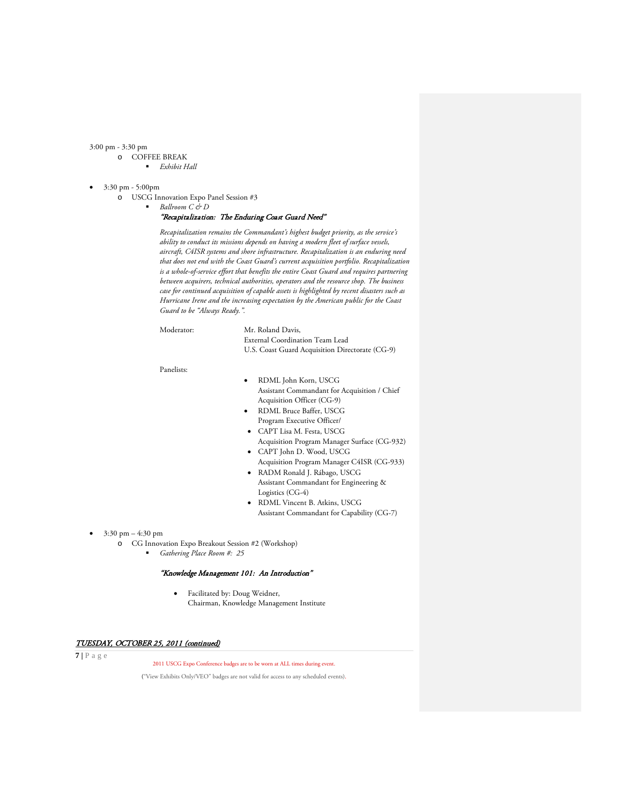3:00 pm - 3:30 pm

- o COFFEE BREAK
	- *Exhibit Hall*
- 3:30 pm 5:00pm
	- o USCG Innovation Expo Panel Session #3
		- *Ballroom C & D*

# "Recapitalization: The Enduring Coast Guard Need"

*Recapitalization remains the Commandant's highest budget priority, as the service's ability to conduct its missions depends on having a modern fleet of surface vessels, aircraft, C4ISR systems and shore infrastructure. Recapitalization is an enduring need that does not end with the Coast Guard's current acquisition portfolio. Recapitalization is a whole-of-service effort that benefits the entire Coast Guard and requires partnering between acquirers, technical authorities, operators and the resource shop. The business case for continued acquisition of capable assets is highlighted by recent disasters such as Hurricane Irene and the increasing expectation by the American public for the Coast Guard to be "Always Ready.".*

Moderator: Mr. Roland Davis, External Coordination Team Lead U.S. Coast Guard Acquisition Directorate (CG-9)

Panelists:

- RDML John Korn, USCG Assistant Commandant for Acquisition / Chief Acquisition Officer (CG-9)
- RDML Bruce Baffer, USCG Program Executive Officer/
- CAPT Lisa M. Festa, USCG
- [Acquisition Program Manager Surface](https://cgportal.uscg.mil/delivery/Satellite/CG9/CG932) (CG-932) • CAPT John D. Wood, USCG
- Acquisition Program Manager C4ISR (CG-933) • RADM Ronald J. Rábago, USCG
- Assistant Commandant for Engineering & Logistics (CG-4)
- RDML Vincent B. Atkins, USCG Assistant Commandant for Capability (CG-7)

- $3:30 \text{ pm} 4:30 \text{ pm}$ 
	- o CG Innovation Expo Breakout Session #2 (Workshop)
		- *Gathering Place Room #: 25*

#### "Knowledge Management 101: An Introduction"

• Facilitated by: Doug Weidner, Chairman, Knowledge Management Institute

# TUESDAY, OCTOBER 25, 2011 (continued)

 $\overline{\mathbf{7}}$  | P a g e

2011 USCG Expo Conference badges are to be worn at ALL times during event.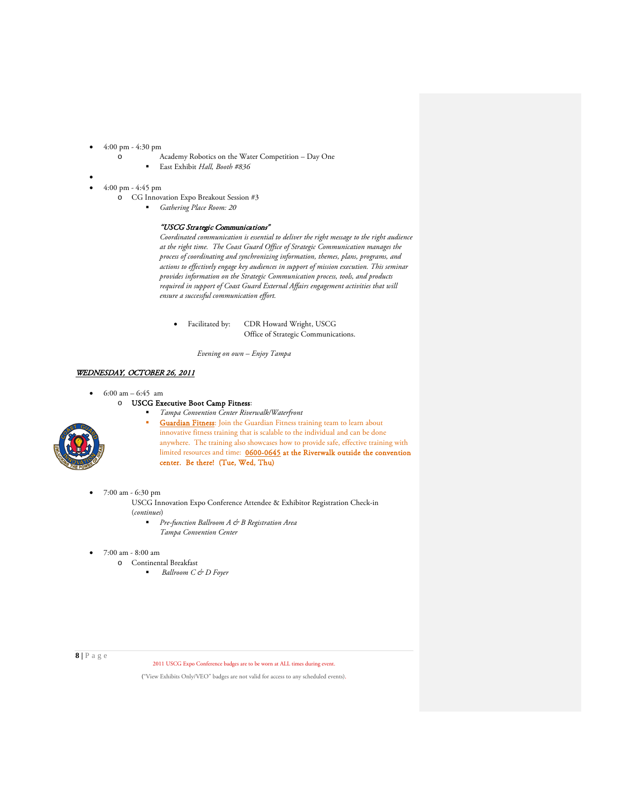- 4:00 pm 4:30 pm
	- o Academy Robotics on the Water Competition Day One
		- East Exhibit *Hall, Booth #836*
- •
- 4:00 pm 4:45 pm
	- o CG Innovation Expo Breakout Session #3
		- *Gathering Place Room: 20*

#### "USCG Strategic Communications"

*Coordinated communication is essential to deliver the right message to the right audience at the right time. The Coast Guard Office of Strategic Communication manages the process of coordinating and synchronizing information, themes, plans, programs, and actions to effectively engage key audiences in support of mission execution. This seminar provides information on the Strategic Communication process, tools, and products required in support of Coast Guard External Affairs engagement activities that will ensure a successful communication effort.* 

• Facilitated by: CDR Howard Wright, USCG Office of Strategic Communications.

*Evening on own – Enjoy Tampa*

#### WEDNESDAY, OCTOBER 26, 2011

- $6:00 \text{ am} 6:45 \text{ am}$ 
	- o USCG Executive Boot Camp Fitness:



- *Tampa Convention Center Riverwalk/Waterfront* **Guardian Fitness**: Join the Guardian Fitness training team to learn about innovative fitness training that is scalable to the individual and can be done anywhere. The training also showcases how to provide safe, effective training with limited resources and time: 0600-0645 at the Riverwalk outside the convention center. Be there! (Tue, Wed, Thu)
- 7:00 am 6:30 pm

USCG Innovation Expo Conference Attendee & Exhibitor Registration Check-in (*continues*)

- *Pre-function Ballroom A & B Registration Area Tampa Convention Center*
- 7:00 am 8:00 am
	- o Continental Breakfast
		- *Ballroom C & D Foyer*

**8 |** Page

2011 USCG Expo Conference badges are to be worn at ALL times during event.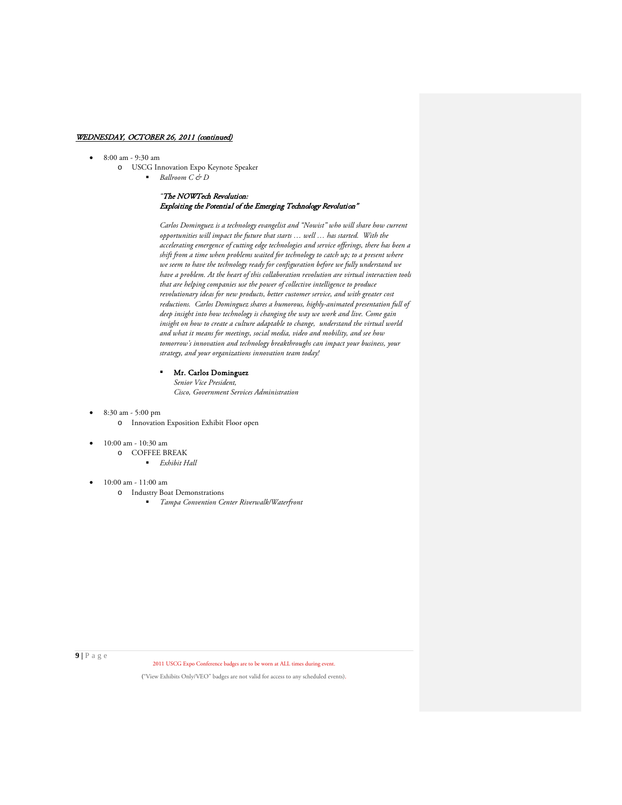- 8:00 am 9:30 am
	- o USCG Innovation Expo Keynote Speaker *Ballroom C & D*

# *"*The NOWTech Revolution: Exploiting the Potential of the Emerging Technology Revolution"

*Carlos Dominguez is a technology evangelist and "Nowist" who will share how current opportunities will impact the future that starts … well … has started. With the accelerating emergence of cutting edge technologies and service offerings, there has been a shift from a time when problems waited for technology to catch up; to a present where we seem to have the technology ready for configuration before we fully understand we have a problem. At the heart of this collaboration revolution are virtual interaction tools that are helping companies use the power of collective intelligence to produce revolutionary ideas for new products, better customer service, and with greater cost reductions. Carlos Dominguez shares a humorous, highly-animated presentation full of deep insight into how technology is changing the way we work and live. Come gain insight on how to create a culture adaptable to change, understand the virtual world and what it means for meetings, social media, video and mobility, and see how tomorrow's innovation and technology breakthroughs can impact your business, your strategy, and your organizations innovation team today!*

- Mr. Carlos Dominguez *Senior Vice President, Cisco, Government Services Administration*
- 8:30 am 5:00 pm
	- o Innovation Exposition Exhibit Floor open
- 10:00 am 10:30 am
	- o COFFEE BREAK
		- *Exhibit Hall*
- 10:00 am 11:00 am
	- o Industry Boat Demonstrations
		- *Tampa Convention Center Riverwalk/Waterfront*

**9 |** Page

2011 USCG Expo Conference badges are to be worn at ALL times during event.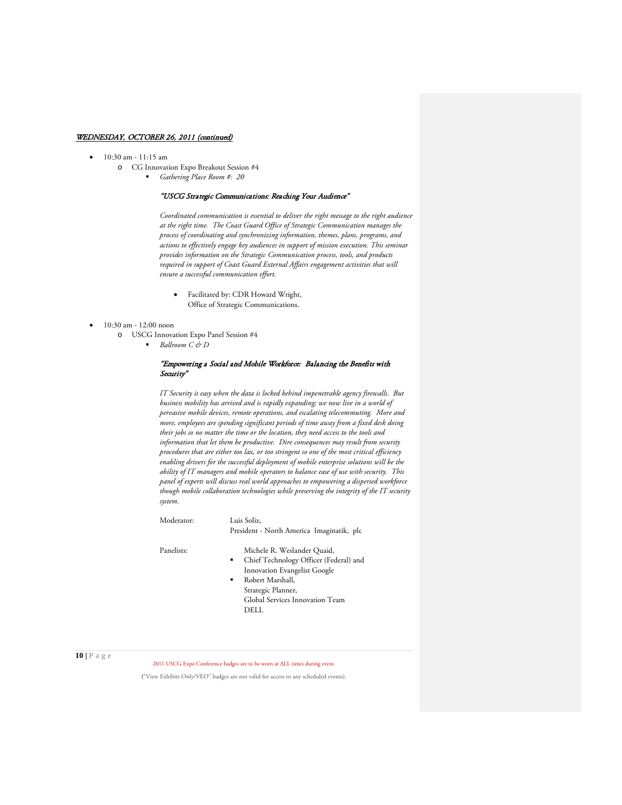- 10:30 am 11:15 am
	- o CG Innovation Expo Breakout Session #4

*Gathering Place Room #: 20*

# "USCG Strategic Communications: Reaching Your Audience"

*Coordinated communication is essential to deliver the right message to the right audience at the right time. The Coast Guard Office of Strategic Communication manages the process of coordinating and synchronizing information, themes, plans, programs, and actions to effectively engage key audiences in support of mission execution. This seminar provides information on the Strategic Communication process, tools, and products required in support of Coast Guard External Affairs engagement activities that will ensure a successful communication effort.* 

• Facilitated by: CDR Howard Wright, Office of Strategic Communications.

### • 10:30 am - 12:00 noon

- o USCG Innovation Expo Panel Session #4
	- $Ballroom C  $\epsilon$  D$

# "Empowering a Social and Mobile Workforce: Balancing the Benefits with Security"

*IT Security is easy when the data is locked behind impenetrable agency firewalls. But business mobility has arrived and is rapidly expanding; we now live in a world of pervasive mobile [devices, remote operations,](http://www.computerweekly.com/Articles/2007/05/29/224038/new-attacks-demand-new-defences.htm) and escalating telecommuting. More and more, employees are spending significant periods of time away from a fixed desk doing their jobs so no matter the time or the location, they need access to the tools and information that let them be productive. Dire consequences may result from security procedures that are either too lax, or too stringent so one of the most critical efficiency enabling drivers for the successful deployment of mobile enterprise solutions will be the ability of IT managers and mobile operators to balance ease of use with security. This panel of experts will discuss real world approaches to empowering a dispersed workforce though mobile collaboration technologies while preserving the integrity of the IT security system.*

Moderator: Luis Soliz,

President - North America Imaginatik, plc

- Panelists: Michele R. Weslander Quaid, Chief Technology Officer (Federal) and
	- Innovation Evangelist Google Robert Marshall, Strategic Planner, Global Services Innovation Team DELL

**10 |** Page

2011 USCG Expo Conference badges are to be worn at ALL times during event.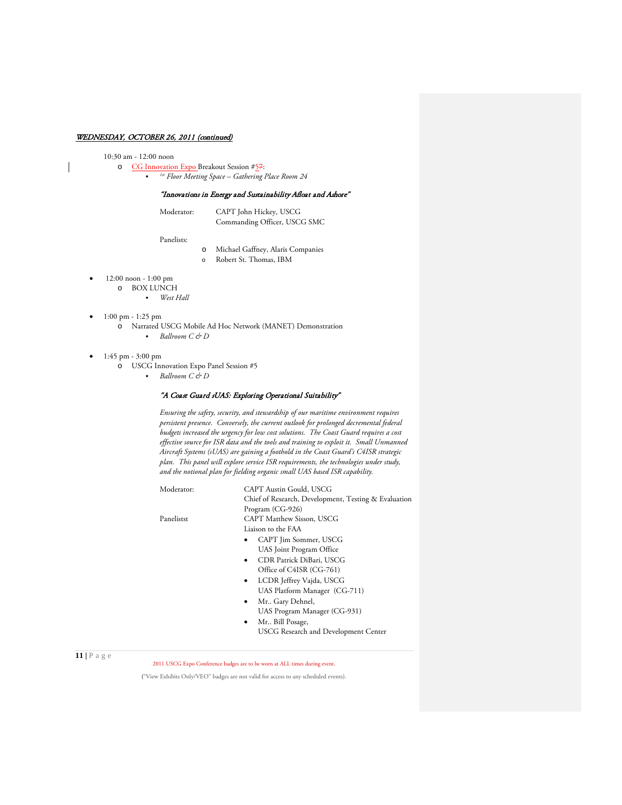### 10:30 am - 12:00 noon

o CG Innovation Expo Breakout Session #57: *1st Floor Meeting Space – Gathering Place Room 24*

# "Innovations in Energy and Sustainability Afloat and Ashore"

| Moderator: | CAPT John Hickey, USCG       |
|------------|------------------------------|
|            | Commanding Officer, USCG SMC |

Panelists:

- o Michael Gaffney, Alaris Companies
- o Robert St. Thomas, IBM
- 12:00 noon 1:00 pm
	- o BOX LUNCH
		- *West Hall*
- $\bullet$  1:00 pm 1:25 pm
	- o Narrated USCG Mobile Ad Hoc Network (MANET) Demonstration *Ballroom C & D*
- 1:45 pm 3:00 pm
	- o USCG Innovation Expo Panel Session #5
		- *Ballroom C & D*

# "A Coast Guard sUAS: Exploring Operational Suitability"

*Ensuring the safety, security, and stewardship of our maritime environment requires persistent presence. Conversely, the current outlook for prolonged decremental federal budgets increased the urgency for low cost solutions. The Coast Guard requires a cost effective source for ISR data and the tools and training to exploit it. Small Unmanned Aircraft Systems (sUAS) are gaining a foothold in the Coast Guard's C4ISR strategic plan. This panel will explore service ISR requirements, the technologies under study, and the notional plan for fielding organic small UAS based ISR capability.*

| Moderator: | CAPT Austin Gould, USCG                              |
|------------|------------------------------------------------------|
|            | Chief of Research, Development, Testing & Evaluation |
|            | Program (CG-926)                                     |
| Panelistst | CAPT Matthew Sisson, USCG                            |
|            | Liaison to the FAA                                   |
|            | CAPT Jim Sommer, USCG                                |
|            | UAS Joint Program Office                             |
|            | CDR Patrick DiBari, USCG<br>$\bullet$                |
|            | Office of C4ISR (CG-761)                             |
|            | LCDR Jeffrey Vajda, USCG<br>$\bullet$                |
|            | UAS Platform Manager (CG-711)                        |
|            | Mr Gary Dehnel,<br>٠                                 |
|            | UAS Program Manager (CG-931)                         |
|            | Mr Bill Posage,                                      |
|            |                                                      |

USCG Research and Development Center

**11 |** Page

2011 USCG Expo Conference badges are to be worn at ALL times during event.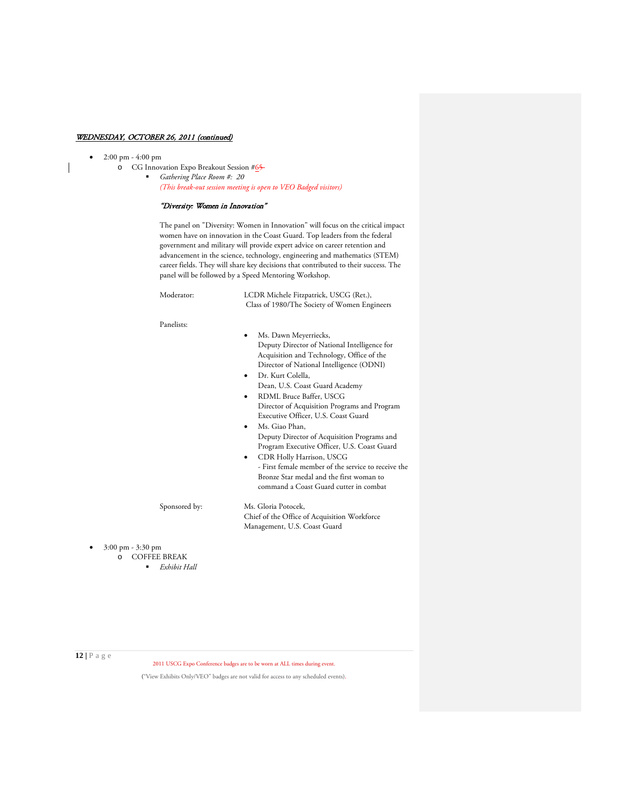• 2:00 pm - 4:00 pm

o CG Innovation Expo Breakout Session #65 *Gathering Place Room #: 20 (This break-out session meeting is open to VEO Badged visitors)*

# "Diversity: Women in Innovation"

The panel on "Diversity: Women in Innovation" will focus on the critical impact women have on innovation in the Coast Guard. Top leaders from the federal government and military will provide expert advice on career retention and advancement in the science, technology, engineering and mathematics (STEM) career fields. They will share key decisions that contributed to their success. The panel will be followed by a Speed Mentoring Workshop.

Moderator: LCDR Michele Fitzpatrick, USCG (Ret.), Class of 1980/The Society of Women Engineers

#### Panelists:

- Ms. Dawn Meyerriecks, Deputy Director of National Intelligence for Acquisition and Technology, Office of the Director of National Intelligence (ODNI)
- Dr. Kurt Colella, Dean, U.S. Coast Guard Academy
- RDML Bruce Baffer, USCG Director of Acquisition Programs and Program Executive Officer, U.S. Coast Guard
- Ms. Giao Phan, Deputy Director of Acquisition Programs and Program Executive Officer, U.S. Coast Guard
- CDR Holly Harrison, USCG - First female member of the service to receive the Bronze Star medal and the first woman to command a Coast Guard cutter in combat

Sponsored by: Ms. Gloria Potocek, Chief of the Office of Acquisition Workforce Management, U.S. Coast Guard

• 3:00 pm - 3:30 pm o COFFEE BREAK

*Exhibit Hall*

**12 |** Page

2011 USCG Expo Conference badges are to be worn at ALL times during event.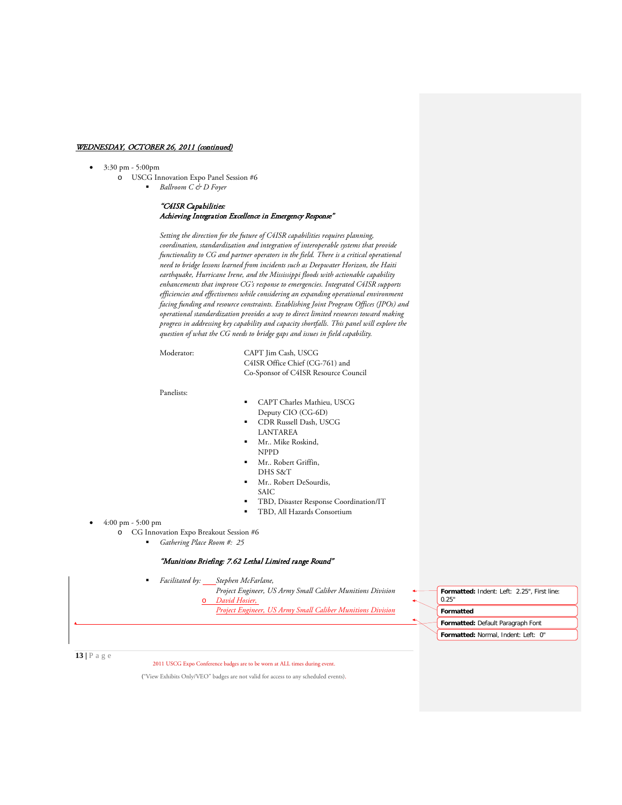### • 3:30 pm - 5:00pm

- o USCG Innovation Expo Panel Session #6
	- *Ballroom C & D Foyer*

# "C4ISR Capabilities: Achieving Integration Excellence in Emergency Response"

*Setting the direction for the future of C4ISR capabilities requires planning, coordination, standardization and integration of interoperable systems that provide functionality to CG and partner operators in the field. There is a critical operational need to bridge lessons learned from incidents such as Deepwater Horizon, the Haiti earthquake, Hurricane Irene, and the Mississippi floods with actionable capability enhancements that improve CG's response to emergencies. Integrated C4ISR supports efficiencies and effectiveness while considering an expanding operational environment facing funding and resource constraints. Establishing Joint Program Offices (JPOs) and operational standardization provides a way to direct limited resources toward making progress in addressing key capability and capacity shortfalls. This panel will explore the question of what the CG needs to bridge gaps and issues in field capability.*

Moderator: CAPT Jim Cash, USCG C4ISR Office Chief (CG-761) and Co-Sponsor of C4ISR Resource Council

Panelists:

- CAPT Charles Mathieu, USCG Deputy CIO (CG-6D)
- CDR Russell Dash, USCG LANTAREA
- Mr.. Mike Roskind, NPPD
- Mr.. Robert Griffin, DHS S&T
- Mr.. Robert DeSourdis,
- SAIC
- TBD, Disaster Response Coordination/IT
- TBD, All Hazards Consortium

• 4:00 pm - 5:00 pm

- o CG Innovation Expo Breakout Session #6
	- *Gathering Place Room #: 25*

# "Munitions Briefing: 7.62 Lethal Limited range Round"

*Facilitated by: Stephen McFarlane,* 

*Project Engineer, US Army Small Caliber Munitions Division*

- David Hosier,
- *Project Engineer, US Army Small Caliber Munitions Division*

**Formatted:** Indent: Left: 2.25", First line: 0.25" **Formatted Formatted:** Default Paragraph Font **Formatted:** Normal, Indent: Left: 0"

**13 |** Page

2011 USCG Expo Conference badges are to be worn at ALL times during event.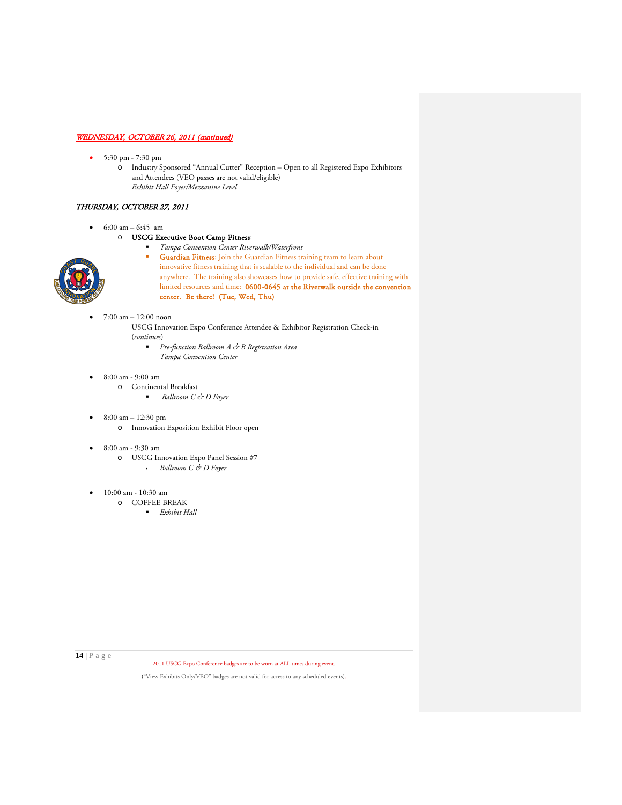# • 5:30 pm - 7:30 pm

o Industry Sponsored "Annual Cutter" Reception – Open to all Registered Expo Exhibitors and Attendees (VEO passes are not valid/eligible) *Exhibit Hall Foyer/Mezzanine Level*

# THURSDAY, OCTOBER 27, 2011

•  $6:00 \text{ am} - 6:45 \text{ am}$ 

# o USCG Executive Boot Camp Fitness:

*Tampa Convention Center Riverwalk/Waterfront*



- **Guardian Fitness**: Join the Guardian Fitness training team to learn about innovative fitness training that is scalable to the individual and can be done anywhere. The training also showcases how to provide safe, effective training with limited resources and time: 0600-0645 at the Riverwalk outside the convention center. Be there! (Tue, Wed, Thu)
- 7:00 am 12:00 noon
	- USCG Innovation Expo Conference Attendee & Exhibitor Registration Check-in (*continues*)
		- *Pre-function Ballroom A & B Registration Area Tampa Convention Center*
- 8:00 am 9:00 am
	- o Continental Breakfast *Ballroom C & D Foyer*
- 8:00 am 12:30 pm o Innovation Exposition Exhibit Floor open
- 8:00 am 9:30 am
	- o USCG Innovation Expo Panel Session #7 *Ballroom C & D Foyer*
- 10:00 am 10:30 am
	- o COFFEE BREAK
		- *Exhibit Hall*

**14 |** Page

2011 USCG Expo Conference badges are to be worn at ALL times during event.